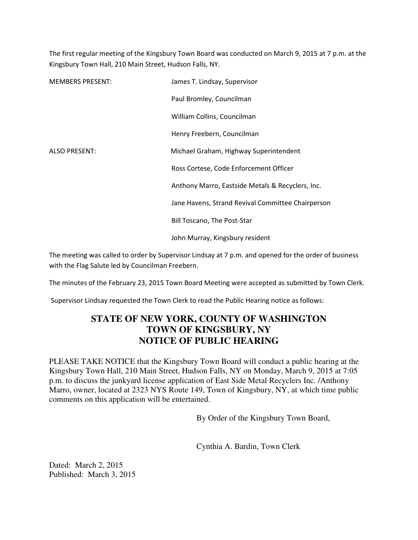The first regular meeting of the Kingsbury Town Board was conducted on March 9, 2015 at 7 p.m. at the Kingsbury Town Hall, 210 Main Street, Hudson Falls, NY.

| <b>MEMBERS PRESENT:</b> | James T. Lindsay, Supervisor                      |
|-------------------------|---------------------------------------------------|
|                         | Paul Bromley, Councilman                          |
|                         | William Collins, Councilman                       |
|                         | Henry Freebern, Councilman                        |
| <b>ALSO PRESENT:</b>    | Michael Graham, Highway Superintendent            |
|                         | Ross Cortese, Code Enforcement Officer            |
|                         | Anthony Marro, Eastside Metals & Recyclers, Inc.  |
|                         | Jane Havens, Strand Revival Committee Chairperson |
|                         | <b>Bill Toscano, The Post-Star</b>                |
|                         | John Murray, Kingsbury resident                   |

The meeting was called to order by Supervisor Lindsay at 7 p.m. and opened for the order of business with the Flag Salute led by Councilman Freebern.

The minutes of the February 23, 2015 Town Board Meeting were accepted as submitted by Town Clerk.

Supervisor Lindsay requested the Town Clerk to read the Public Hearing notice as follows:

## **STATE OF NEW YORK, COUNTY OF WASHINGTON TOWN OF KINGSBURY, NY NOTICE OF PUBLIC HEARING**

PLEASE TAKE NOTICE that the Kingsbury Town Board will conduct a public hearing at the Kingsbury Town Hall, 210 Main Street, Hudson Falls, NY on Monday, March 9, 2015 at 7:05 p.m. to discuss the junkyard license application of East Side Metal Recyclers Inc. /Anthony Marro, owner, located at 2323 NYS Route 149, Town of Kingsbury, NY, at which time public comments on this application will be entertained.

By Order of the Kingsbury Town Board,

Cynthia A. Bardin, Town Clerk

Dated: March 2, 2015 Published: March 3, 2015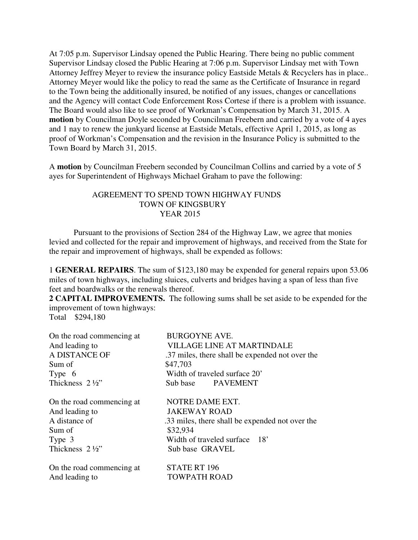At 7:05 p.m. Supervisor Lindsay opened the Public Hearing. There being no public comment Supervisor Lindsay closed the Public Hearing at 7:06 p.m. Supervisor Lindsay met with Town Attorney Jeffrey Meyer to review the insurance policy Eastside Metals & Recyclers has in place.. Attorney Meyer would like the policy to read the same as the Certificate of Insurance in regard to the Town being the additionally insured, be notified of any issues, changes or cancellations and the Agency will contact Code Enforcement Ross Cortese if there is a problem with issuance. The Board would also like to see proof of Workman's Compensation by March 31, 2015. A **motion** by Councilman Doyle seconded by Councilman Freebern and carried by a vote of 4 ayes and 1 nay to renew the junkyard license at Eastside Metals, effective April 1, 2015, as long as proof of Workman's Compensation and the revision in the Insurance Policy is submitted to the Town Board by March 31, 2015.

A **motion** by Councilman Freebern seconded by Councilman Collins and carried by a vote of 5 ayes for Superintendent of Highways Michael Graham to pave the following:

## AGREEMENT TO SPEND TOWN HIGHWAY FUNDS TOWN OF KINGSBURY YEAR 2015

 Pursuant to the provisions of Section 284 of the Highway Law, we agree that monies levied and collected for the repair and improvement of highways, and received from the State for the repair and improvement of highways, shall be expended as follows:

1 **GENERAL REPAIRS**. The sum of \$123,180 may be expended for general repairs upon 53.06 miles of town highways, including sluices, culverts and bridges having a span of less than five feet and boardwalks or the renewals thereof.

**2 CAPITAL IMPROVEMENTS.** The following sums shall be set aside to be expended for the improvement of town highways:

Total \$294,180

| On the road commencing at | <b>BURGOYNE AVE.</b>                            |
|---------------------------|-------------------------------------------------|
| And leading to            | <b>VILLAGE LINE AT MARTINDALE</b>               |
| A DISTANCE OF             | .37 miles, there shall be expended not over the |
| Sum of                    | \$47,703                                        |
| Type 6                    | Width of traveled surface 20'                   |
| Thickness 2 1/2"          | Sub base PAVEMENT                               |
| On the road commencing at | NOTRE DAME EXT.                                 |
| And leading to            | <b>JAKEWAY ROAD</b>                             |
| A distance of             | .33 miles, there shall be expended not over the |
| Sum of                    | \$32,934                                        |
| Type 3                    | Width of traveled surface 18'                   |
| Thickness 2 1/2"          | Sub base GRAVEL                                 |
| On the road commencing at | <b>STATE RT 196</b>                             |
| And leading to            | <b>TOWPATH ROAD</b>                             |
|                           |                                                 |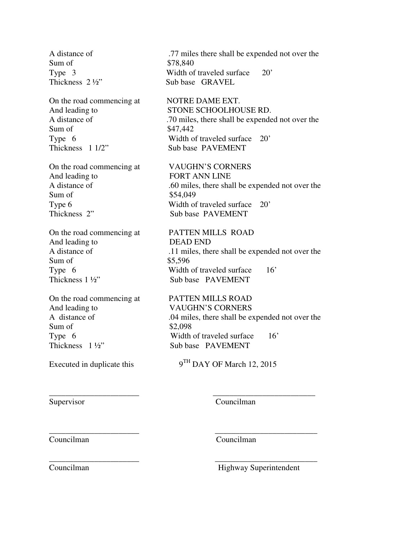Sum of \$78.840

On the road commencing at NOTRE DAME EXT. Sum of \$47,442 Thickness 1 1/2" Sub base PAVEMENT

On the road commencing at VAUGHN'S CORNERS And leading to FORT ANN LINE Sum of \$54,049 Thickness 2" Sub base PAVEMENT

On the road commencing at PATTEN MILLS ROAD And leading to DEAD END Sum of \$5,596 Thickness 1 ½" Sub base PAVEMENT

On the road commencing at PATTEN MILLS ROAD And leading to VAUGHN'S CORNERS Sum of \$2,098

A distance of .77 miles there shall be expended not over the Type 3 Width of traveled surface 20' Thickness  $2\frac{1}{2}$ " Sub base GRAVEL

And leading to STONE SCHOOLHOUSE RD. A distance of .70 miles, there shall be expended not over the Type 6 Width of traveled surface 20'

A distance of .60 miles, there shall be expended not over the Type 6 Width of traveled surface 20'

A distance of .11 miles, there shall be expended not over the Type 6 Width of traveled surface 16'

A distance of .04 miles, there shall be expended not over the Type 6 Width of traveled surface 16'<br>Thickness 1<sup>1</sup>/<sub>2</sub>" Sub base PAVEMENT Sub base PAVEMENT

Executed in duplicate this  $9^{TH}$  DAY OF March 12, 2015

\_\_\_\_\_\_\_\_\_\_\_\_\_\_\_\_\_\_\_\_\_\_ \_\_\_\_\_\_\_\_\_\_\_\_\_\_\_\_\_\_\_\_\_\_\_\_\_

\_\_\_\_\_\_\_\_\_\_\_\_\_\_\_\_\_\_\_\_\_\_ \_\_\_\_\_\_\_\_\_\_\_\_\_\_\_\_\_\_\_\_\_\_\_\_\_

Supervisor Councilman

\_\_\_\_\_\_\_\_\_\_\_\_\_\_\_\_\_\_\_\_\_\_ \_\_\_\_\_\_\_\_\_\_\_\_\_\_\_\_\_\_\_\_\_\_\_\_\_ Councilman Councilman

Councilman Highway Superintendent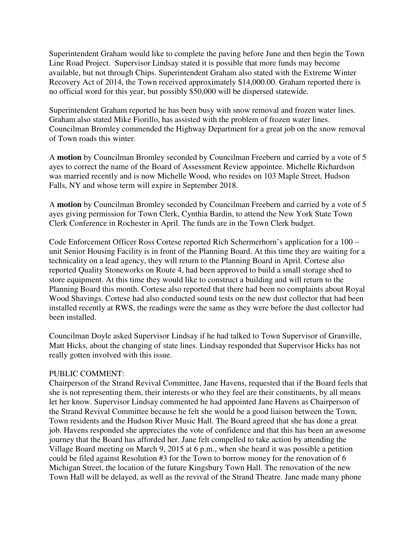Superintendent Graham would like to complete the paving before June and then begin the Town Line Road Project. Supervisor Lindsay stated it is possible that more funds may become available, but not through Chips. Superintendent Graham also stated with the Extreme Winter Recovery Act of 2014, the Town received approximately \$14,000.00. Graham reported there is no official word for this year, but possibly \$50,000 will be dispersed statewide.

Superintendent Graham reported he has been busy with snow removal and frozen water lines. Graham also stated Mike Fiorillo, has assisted with the problem of frozen water lines. Councilman Bromley commended the Highway Department for a great job on the snow removal of Town roads this winter.

A **motion** by Councilman Bromley seconded by Councilman Freebern and carried by a vote of 5 ayes to correct the name of the Board of Assessment Review appointee. Michelle Richardson was married recently and is now Michelle Wood, who resides on 103 Maple Street, Hudson Falls, NY and whose term will expire in September 2018.

A **motion** by Councilman Bromley seconded by Councilman Freebern and carried by a vote of 5 ayes giving permission for Town Clerk, Cynthia Bardin, to attend the New York State Town Clerk Conference in Rochester in April. The funds are in the Town Clerk budget.

Code Enforcement Officer Ross Cortese reported Rich Schermerhorn's application for a 100 – unit Senior Housing Facility is in front of the Planning Board. At this time they are waiting for a technicality on a lead agency, they will return to the Planning Board in April. Cortese also reported Quality Stoneworks on Route 4, had been approved to build a small storage shed to store equipment. At this time they would like to construct a building and will return to the Planning Board this month. Cortese also reported that there had been no complaints about Royal Wood Shavings. Cortese had also conducted sound tests on the new dust collector that had been installed recently at RWS, the readings were the same as they were before the dust collector had been installed.

Councilman Doyle asked Supervisor Lindsay if he had talked to Town Supervisor of Granville, Matt Hicks, about the changing of state lines. Lindsay responded that Supervisor Hicks has not really gotten involved with this issue.

## PUBLIC COMMENT:

Chairperson of the Strand Revival Committee, Jane Havens, requested that if the Board feels that she is not representing them, their interests or who they feel are their constituents, by all means let her know. Supervisor Lindsay commented he had appointed Jane Havens as Chairperson of the Strand Revival Committee because he felt she would be a good liaison between the Town, Town residents and the Hudson River Music Hall. The Board agreed that she has done a great job. Havens responded she appreciates the vote of confidence and that this has been an awesome journey that the Board has afforded her. Jane felt compelled to take action by attending the Village Board meeting on March 9, 2015 at 6 p.m., when she heard it was possible a petition could be filed against Resolution #3 for the Town to borrow money for the renovation of 6 Michigan Street, the location of the future Kingsbury Town Hall. The renovation of the new Town Hall will be delayed, as well as the revival of the Strand Theatre. Jane made many phone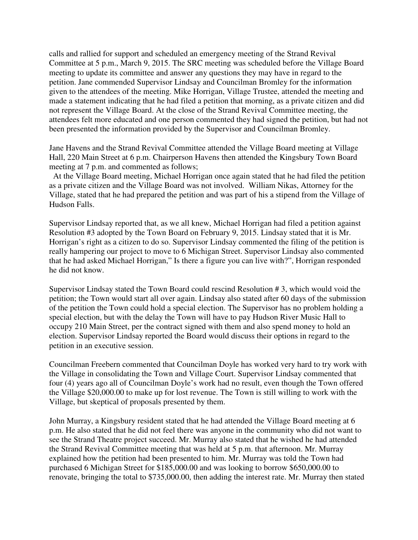calls and rallied for support and scheduled an emergency meeting of the Strand Revival Committee at 5 p.m., March 9, 2015. The SRC meeting was scheduled before the Village Board meeting to update its committee and answer any questions they may have in regard to the petition. Jane commended Supervisor Lindsay and Councilman Bromley for the information given to the attendees of the meeting. Mike Horrigan, Village Trustee, attended the meeting and made a statement indicating that he had filed a petition that morning, as a private citizen and did not represent the Village Board. At the close of the Strand Revival Committee meeting, the attendees felt more educated and one person commented they had signed the petition, but had not been presented the information provided by the Supervisor and Councilman Bromley.

Jane Havens and the Strand Revival Committee attended the Village Board meeting at Village Hall, 220 Main Street at 6 p.m. Chairperson Havens then attended the Kingsbury Town Board meeting at 7 p.m. and commented as follows;

 At the Village Board meeting, Michael Horrigan once again stated that he had filed the petition as a private citizen and the Village Board was not involved. William Nikas, Attorney for the Village, stated that he had prepared the petition and was part of his a stipend from the Village of Hudson Falls.

Supervisor Lindsay reported that, as we all knew, Michael Horrigan had filed a petition against Resolution #3 adopted by the Town Board on February 9, 2015. Lindsay stated that it is Mr. Horrigan's right as a citizen to do so. Supervisor Lindsay commented the filing of the petition is really hampering our project to move to 6 Michigan Street. Supervisor Lindsay also commented that he had asked Michael Horrigan," Is there a figure you can live with?", Horrigan responded he did not know.

Supervisor Lindsay stated the Town Board could rescind Resolution # 3, which would void the petition; the Town would start all over again. Lindsay also stated after 60 days of the submission of the petition the Town could hold a special election. The Supervisor has no problem holding a special election, but with the delay the Town will have to pay Hudson River Music Hall to occupy 210 Main Street, per the contract signed with them and also spend money to hold an election. Supervisor Lindsay reported the Board would discuss their options in regard to the petition in an executive session.

Councilman Freebern commented that Councilman Doyle has worked very hard to try work with the Village in consolidating the Town and Village Court. Supervisor Lindsay commented that four (4) years ago all of Councilman Doyle's work had no result, even though the Town offered the Village \$20,000.00 to make up for lost revenue. The Town is still willing to work with the Village, but skeptical of proposals presented by them.

John Murray, a Kingsbury resident stated that he had attended the Village Board meeting at 6 p.m. He also stated that he did not feel there was anyone in the community who did not want to see the Strand Theatre project succeed. Mr. Murray also stated that he wished he had attended the Strand Revival Committee meeting that was held at 5 p.m. that afternoon. Mr. Murray explained how the petition had been presented to him. Mr. Murray was told the Town had purchased 6 Michigan Street for \$185,000.00 and was looking to borrow \$650,000.00 to renovate, bringing the total to \$735,000.00, then adding the interest rate. Mr. Murray then stated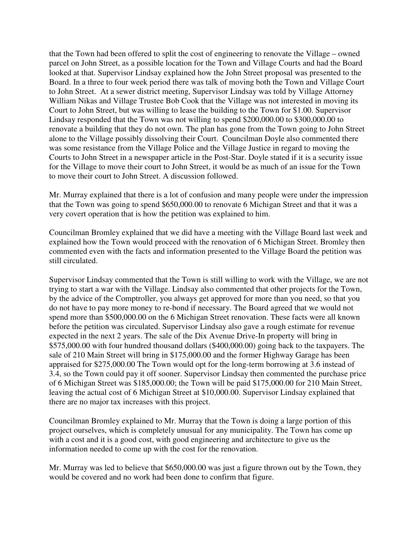that the Town had been offered to split the cost of engineering to renovate the Village – owned parcel on John Street, as a possible location for the Town and Village Courts and had the Board looked at that. Supervisor Lindsay explained how the John Street proposal was presented to the Board. In a three to four week period there was talk of moving both the Town and Village Court to John Street. At a sewer district meeting, Supervisor Lindsay was told by Village Attorney William Nikas and Village Trustee Bob Cook that the Village was not interested in moving its Court to John Street, but was willing to lease the building to the Town for \$1.00. Supervisor Lindsay responded that the Town was not willing to spend \$200,000.00 to \$300,000.00 to renovate a building that they do not own. The plan has gone from the Town going to John Street alone to the Village possibly dissolving their Court. Councilman Doyle also commented there was some resistance from the Village Police and the Village Justice in regard to moving the Courts to John Street in a newspaper article in the Post-Star. Doyle stated if it is a security issue for the Village to move their court to John Street, it would be as much of an issue for the Town to move their court to John Street. A discussion followed.

Mr. Murray explained that there is a lot of confusion and many people were under the impression that the Town was going to spend \$650,000.00 to renovate 6 Michigan Street and that it was a very covert operation that is how the petition was explained to him.

Councilman Bromley explained that we did have a meeting with the Village Board last week and explained how the Town would proceed with the renovation of 6 Michigan Street. Bromley then commented even with the facts and information presented to the Village Board the petition was still circulated.

Supervisor Lindsay commented that the Town is still willing to work with the Village, we are not trying to start a war with the Village. Lindsay also commented that other projects for the Town, by the advice of the Comptroller, you always get approved for more than you need, so that you do not have to pay more money to re-bond if necessary. The Board agreed that we would not spend more than \$500,000.00 on the 6 Michigan Street renovation. These facts were all known before the petition was circulated. Supervisor Lindsay also gave a rough estimate for revenue expected in the next 2 years. The sale of the Dix Avenue Drive-In property will bring in \$575,000.00 with four hundred thousand dollars (\$400,000.00) going back to the taxpayers. The sale of 210 Main Street will bring in \$175,000.00 and the former Highway Garage has been appraised for \$275,000.00 The Town would opt for the long-term borrowing at 3.6 instead of 3.4, so the Town could pay it off sooner. Supervisor Lindsay then commented the purchase price of 6 Michigan Street was \$185,000.00; the Town will be paid \$175,000.00 for 210 Main Street, leaving the actual cost of 6 Michigan Street at \$10,000.00. Supervisor Lindsay explained that there are no major tax increases with this project.

Councilman Bromley explained to Mr. Murray that the Town is doing a large portion of this project ourselves, which is completely unusual for any municipality. The Town has come up with a cost and it is a good cost, with good engineering and architecture to give us the information needed to come up with the cost for the renovation.

Mr. Murray was led to believe that \$650,000.00 was just a figure thrown out by the Town, they would be covered and no work had been done to confirm that figure.